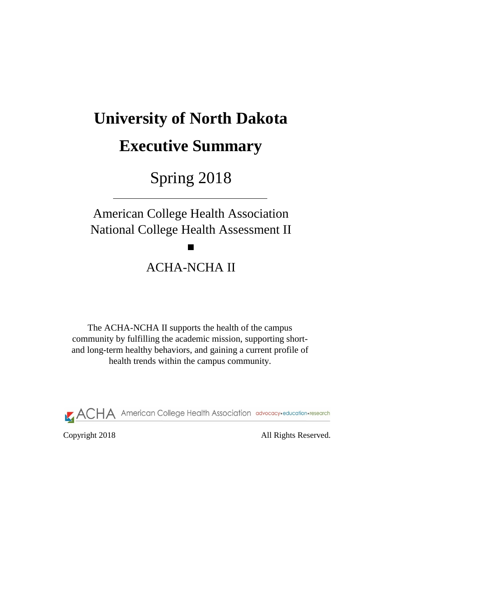Copyright 2018 All Rights Reserved.

# **University of North Dakota**

# **Executive Summary**

Spring 2018

The ACHA-NCHA II supports the health of the campus community by fulfilling the academic mission, supporting shortand long-term healthy behaviors, and gaining a current profile of health trends within the campus community.



American College Health Association National College Health Assessment II

ACHA-NCHA II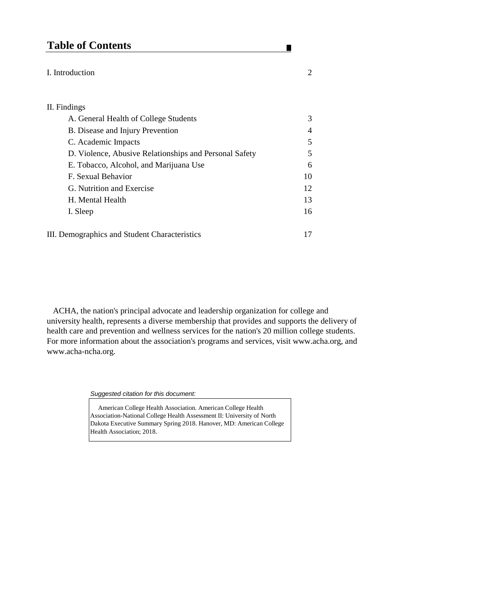# **Table of Contents**

## I. Introduction 2

## II. Findings

| A. General Health of College Students                  | 3              |
|--------------------------------------------------------|----------------|
| <b>B.</b> Disease and Injury Prevention                | $\overline{4}$ |
| C. Academic Impacts                                    | $\overline{5}$ |
| D. Violence, Abusive Relationships and Personal Safety | $\mathfrak{S}$ |
| E. Tobacco, Alcohol, and Marijuana Use                 | 6              |
| F. Sexual Behavior                                     | 10             |
| G. Nutrition and Exercise                              | 12             |
| H. Mental Health                                       | 13             |
| I. Sleep                                               | 16             |
|                                                        |                |

III. Demographics and Student Characteristics 17

Association-National College Health Assessment II: University of North Dakota Executive Summary Spring 2018. Hanover, MD: American College Health Association; 2018.

*Suggested citation for this document:* 

American College Health Association. American College Health

п

 ACHA, the nation's principal advocate and leadership organization for college and university health, represents a diverse membership that provides and supports the delivery of health care and prevention and wellness services for the nation's 20 million college students. For more information about the association's programs and services, visit www.acha.org, and www.acha-ncha.org.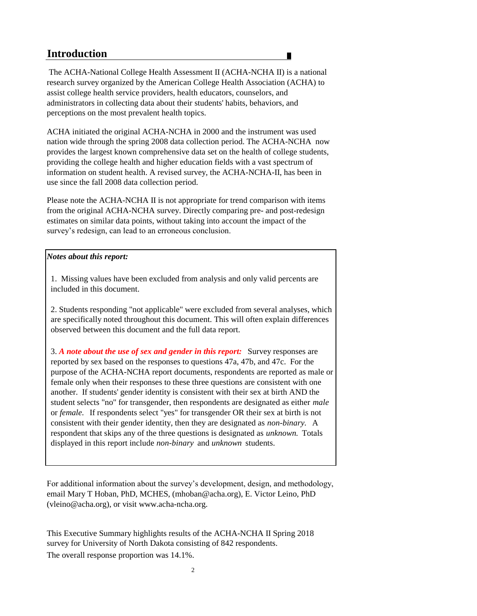# **Introduction**

# *Notes about this report:*

2

3. *A note about the use of sex and gender in this report:* Survey responses are reported by sex based on the responses to questions 47a, 47b, and 47c. For the purpose of the ACHA-NCHA report documents, respondents are reported as male or female only when their responses to these three questions are consistent with one another. If students' gender identity is consistent with their sex at birth AND the student selects "no" for transgender, then respondents are designated as either *male*  or *female.* If respondents select "yes" for transgender OR their sex at birth is not consistent with their gender identity, then they are designated as *non-binary.* A respondent that skips any of the three questions is designated as *unknown.* Totals displayed in this report include *non-binary* and *unknown* students.

The overall response proportion was 14.1%. survey for University of North Dakota consisting of 842 respondents. This Executive Summary highlights results of the ACHA-NCHA II Spring 2018

2. Students responding "not applicable" were excluded from several analyses, which are specifically noted throughout this document. This will often explain differences observed between this document and the full data report.

 The ACHA-National College Health Assessment II (ACHA-NCHA II) is a national research survey organized by the American College Health Association (ACHA) to assist college health service providers, health educators, counselors, and administrators in collecting data about their students' habits, behaviors, and perceptions on the most prevalent health topics.

ACHA initiated the original ACHA-NCHA in 2000 and the instrument was used nation wide through the spring 2008 data collection period. The ACHA-NCHA now provides the largest known comprehensive data set on the health of college students, providing the college health and higher education fields with a vast spectrum of information on student health. A revised survey, the ACHA-NCHA-II, has been in use since the fall 2008 data collection period.

Please note the ACHA-NCHA II is not appropriate for trend comparison with items from the original ACHA-NCHA survey. Directly comparing pre- and post-redesign estimates on similar data points, without taking into account the impact of the survey's redesign, can lead to an erroneous conclusion.

For additional information about the survey's development, design, and methodology, email Mary T Hoban, PhD, MCHES, (mhoban@acha.org), E. Victor Leino, PhD (vleino@acha.org), or visit www.acha-ncha.org.

1. Missing values have been excluded from analysis and only valid percents are included in this document.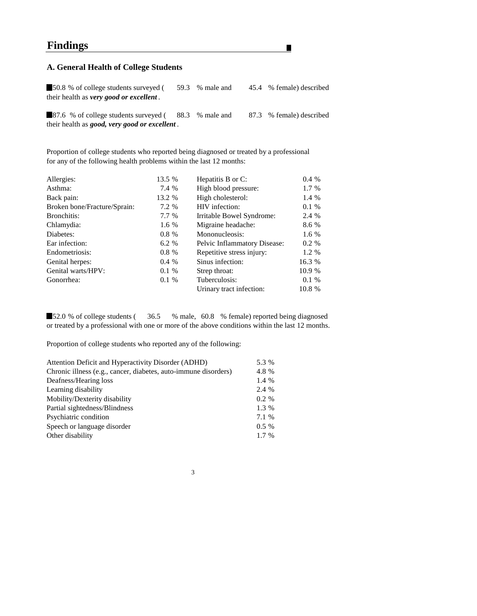# **Findings**

# **A. General Health of College Students**

**50.8** % of college students surveyed (59.3 % male and 45.4 % female) described their health as *very good or excellent .*

87.6 % of college students surveyed (88.3 % male and 87.3 % female) described their health as *good, very good or excellent .*

Proportion of college students who reported being diagnosed or treated by a professional for any of the following health problems within the last 12 months:

**52.0** % of college students (36.5 % male, 60.8 % female) reported being diagnosed or treated by a professional with one or more of the above conditions within the last 12 months.

| Allergies:                   | 13.5 %   | Hepatitis B or C:                   | 0.4%   |
|------------------------------|----------|-------------------------------------|--------|
| Asthma:                      | 7.4 %    | High blood pressure:                | 1.7 %  |
| Back pain:                   | 13.2 %   | High cholesterol:                   | 1.4 %  |
| Broken bone/Fracture/Sprain: | 7.2 %    | HIV infection:                      | 0.1%   |
| Bronchitis:                  | 7.7 %    | Irritable Bowel Syndrome:           | 2.4 %  |
| Chlamydia:                   | 1.6 %    | Migraine headache:                  | 8.6 %  |
| Diabetes:                    | $0.8 \%$ | Mononucleosis:                      | 1.6 %  |
| Ear infection:               | 6.2 %    | <b>Pelvic Inflammatory Disease:</b> | 0.2 %  |
| Endometriosis:               | $0.8 \%$ | Repetitive stress injury:           | 1.2 %  |
| <b>Genital herpes:</b>       | 0.4 %    | Sinus infection:                    | 16.3 % |
| Genital warts/HPV:           | 0.1 %    | Strep throat:                       | 10.9 % |
| Gonorrhea:                   | $0.1 \%$ | Tuberculosis:                       | 0.1%   |
|                              |          | Urinary tract infection:            | 10.8 % |
|                              |          |                                     |        |

Proportion of college students who reported any of the following:

| Attention Deficit and Hyperactivity Disorder (ADHD)             | 5.3 %    |
|-----------------------------------------------------------------|----------|
| Chronic illness (e.g., cancer, diabetes, auto-immune disorders) | 4.8 %    |
| Deafness/Hearing loss                                           | 1.4 %    |
| Learning disability                                             | 2.4 %    |
| Mobility/Dexterity disability                                   | $0.2 \%$ |
| Partial sightedness/Blindness                                   | 1.3 %    |
| Psychiatric condition                                           | 7.1 %    |
| Speech or language disorder                                     | $0.5\%$  |
| Other disability                                                | $1.7\%$  |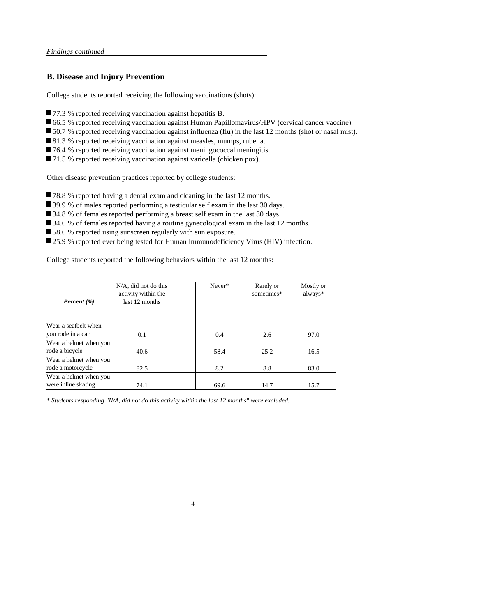# **B. Disease and Injury Prevention**

College students reported receiving the following vaccinations (shots):

- 77.3 % reported receiving vaccination against hepatitis B.
- 66.5 % reported receiving vaccination against Human Papillomavirus/HPV (cervical cancer vaccine).
- 50.7 % reported receiving vaccination against influenza (flu) in the last 12 months (shot or nasal mist).
- 81.3 % reported receiving vaccination against measles, mumps, rubella.
- 76.4 % reported receiving vaccination against meningococcal meningitis.
- 71.5 % reported receiving vaccination against varicella (chicken pox).

Other disease prevention practices reported by college students:

- 78.8 % reported having a dental exam and cleaning in the last 12 months.
- 39.9 % of males reported performing a testicular self exam in the last 30 days.
- 34.8 % of females reported performing a breast self exam in the last 30 days.
- 34.6 % of females reported having a routine gynecological exam in the last 12 months.
- 58.6 % reported using sunscreen regularly with sun exposure.
- 25.9 % reported ever being tested for Human Immunodeficiency Virus (HIV) infection.

College students reported the following behaviors within the last 12 months:

4

| Percent (%)            | $N/A$ , did not do this<br>activity within the<br>last 12 months |  | Never* | Rarely or<br>sometimes* | Mostly or<br>always* |  |
|------------------------|------------------------------------------------------------------|--|--------|-------------------------|----------------------|--|
| Wear a seatbelt when   |                                                                  |  |        |                         |                      |  |
| you rode in a car      | 0.1                                                              |  | 0.4    | 2.6                     | 97.0                 |  |
| Wear a helmet when you |                                                                  |  |        |                         |                      |  |
| rode a bicycle         | 40.6                                                             |  | 58.4   | 25.2                    | 16.5                 |  |
| Wear a helmet when you |                                                                  |  |        |                         |                      |  |
| rode a motorcycle      | 82.5                                                             |  | 8.2    | 8.8                     | 83.0                 |  |
| Wear a helmet when you |                                                                  |  |        |                         |                      |  |
| were inline skating    | 74.1                                                             |  | 69.6   | 14.7                    | 15.7                 |  |

*\* Students responding "N/A, did not do this activity within the last 12 months" were excluded.*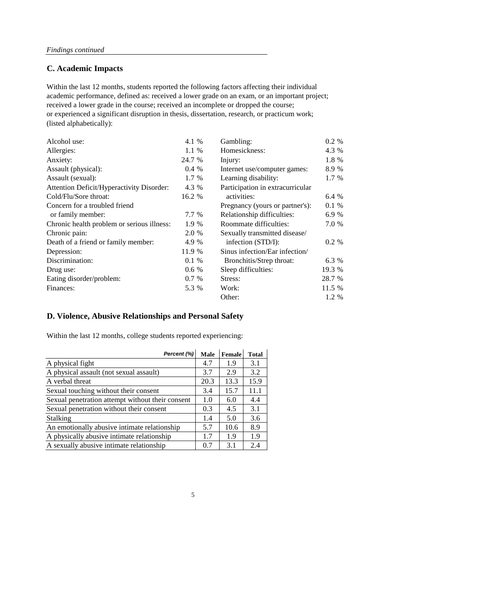# **C. Academic Impacts**

| Alcohol use:                                     | 4.1 %    | Gambling:                        | $0.2 \%$ |
|--------------------------------------------------|----------|----------------------------------|----------|
| Allergies:                                       | $1.1\%$  | Homesickness:                    | 4.3 %    |
| Anxiety:                                         | 24.7 %   | Injury:                          | 1.8 %    |
| Assault (physical):                              | $0.4\%$  | Internet use/computer games:     | 8.9 %    |
| Assault (sexual):                                | 1.7 %    | Learning disability:             | 1.7 %    |
| <b>Attention Deficit/Hyperactivity Disorder:</b> | 4.3 %    | Participation in extracurricular |          |
| Cold/Flu/Sore throat:                            | 16.2 %   | activities:                      | 6.4 %    |
| Concern for a troubled friend                    |          | Pregnancy (yours or partner's):  | 0.1%     |
| or family member:                                | 7.7 %    | Relationship difficulties:       | 6.9 %    |
| Chronic health problem or serious illness:       | 1.9 %    | <b>Roommate difficulties:</b>    | 7.0 %    |
| Chronic pain:                                    | 2.0 %    | Sexually transmitted disease/    |          |
| Death of a friend or family member:              | 4.9 %    | infection (STD/I):               | $0.2 \%$ |
| Depression:                                      | 11.9 %   | Sinus infection/Ear infection/   |          |
| Discrimination:                                  | $0.1 \%$ | Bronchitis/Strep throat:         | 6.3 %    |
| Drug use:                                        | 0.6 %    | Sleep difficulties:              | 19.3 %   |
| Eating disorder/problem:                         | 0.7 %    | Stress:                          | 28.7 %   |
| Finances:                                        | 5.3 %    | Work:                            | 11.5 %   |
|                                                  |          | Other:                           | 1.2 %    |

academic performance, defined as: received a lower grade on an exam, or an important project; received a lower grade in the course; received an incomplete or dropped the course; or experienced a significant disruption in thesis, dissertation, research, or practicum work; (listed alphabetically): Within the last 12 months, students reported the following factors affecting their individual

# **D. Violence, Abusive Relationships and Personal Safety**

Within the last 12 months, college students reported experiencing:

| Percent (%)                                      | <b>Male</b> | <b>Female</b> | <b>Total</b> |
|--------------------------------------------------|-------------|---------------|--------------|
| A physical fight                                 | 4.7         | 1.9           | 3.1          |
| A physical assault (not sexual assault)          | 3.7         | 2.9           | 3.2          |
| A verbal threat                                  | 20.3        | 13.3          | 15.9         |
| Sexual touching without their consent            | 3.4         | 15.7          | 11.1         |
| Sexual penetration attempt without their consent | 1.0         | 6.0           | 4.4          |
| Sexual penetration without their consent         | 0.3         | 4.5           | 3.1          |
| <b>Stalking</b>                                  | 1.4         | 5.0           | 3.6          |
| An emotionally abusive intimate relationship     | 5.7         | 10.6          | 8.9          |
| A physically abusive intimate relationship       | 1.7         | 1.9           | 1.9          |
| A sexually abusive intimate relationship         | 0.7         | 3.1           | 2.4          |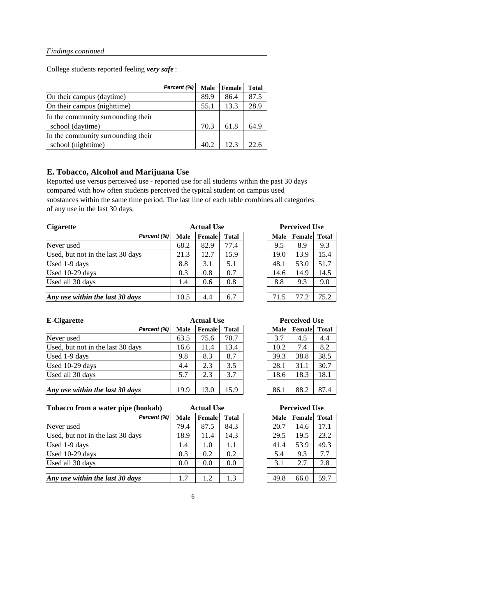College students reported feeling *very safe* :

|                                    | Percent (%) | <b>Male</b> | <b>Female</b> | <b>Total</b> |
|------------------------------------|-------------|-------------|---------------|--------------|
| On their campus (daytime)          |             | 89.9        | 86.4          | 87.5         |
| On their campus (nighttime)        |             | 55.1        | 13.3          | 28.9         |
| In the community surrounding their |             |             |               |              |
| school (daytime)                   |             | 70.3        | 61.8          | 64.9         |
| In the community surrounding their |             |             |               |              |
| school (nighttime)                 |             | 40.2        | 12.3          |              |

# **E. Tobacco, Alcohol and Marijuana Use**

Reported use versus perceived use - reported use for all students within the past 30 days compared with how often students perceived the typical student on campus used substances within the same time period. The last line of each table combines all categories of any use in the last 30 days.

| <b>Cigarette</b>                  | <b>Actual Use</b> |               |              |  | <b>Perceived Use</b> |        |              |
|-----------------------------------|-------------------|---------------|--------------|--|----------------------|--------|--------------|
| Percent (%)                       | <b>Male</b>       | <b>Female</b> | <b>Total</b> |  | <b>Male</b>          | Female | <b>Total</b> |
| Never used                        | 68.2              | 82.9          | 77.4         |  | 9.5                  | 8.9    | 9.3          |
| Used, but not in the last 30 days | 21.3              | 12.7          | 15.9         |  | 19.0                 | 13.9   | 15.4         |
| Used 1-9 days                     | 8.8               | 3.1           | 5.1          |  | 48.1                 | 53.0   | 51.7         |
| Used 10-29 days                   | 0.3               | 0.8           | 0.7          |  | 14.6                 | 14.9   | 14.5         |
| Used all 30 days                  | 1.4               | 0.6           | 0.8          |  | 8.8                  | 9.3    | 9.0          |
|                                   |                   |               |              |  |                      |        |              |
| Any use within the last 30 days   | 10.5              | 4.4           | 6.7          |  | 71.5                 | 77.2   | 75.2         |

| <b>E-Cigarette</b>                | <b>Actual Use</b> |               |              |  | <b>Perceived Use</b> |                     |      |
|-----------------------------------|-------------------|---------------|--------------|--|----------------------|---------------------|------|
| Percent (%)                       | <b>Male</b>       | <b>Female</b> | <b>Total</b> |  | <b>Male</b>          | <b>Female</b> Total |      |
| Never used                        | 63.5              | 75.6          | 70.7         |  | 3.7                  | 4.5                 | 4.4  |
| Used, but not in the last 30 days | 16.6              | 11.4          | 13.4         |  | 10.2                 | 7.4                 | 8.2  |
| Used 1-9 days                     | 9.8               | 8.3           | 8.7          |  | 39.3                 | 38.8                | 38.5 |
| Used 10-29 days                   | 4.4               | 2.3           | 3.5          |  | 28.1                 | 31.1                | 30.7 |
| Used all 30 days                  | 5.7               | 2.3           | 3.7          |  | 18.6                 | 18.3                | 18.1 |
|                                   |                   |               |              |  |                      |                     |      |
| Any use within the last 30 days   | 19.9              | 13.0          | 15.9         |  | 86.1                 | 88.2                | 87.4 |

**Tobacco from a water pipe (hookah)**

| Percent (%)                       | <b>Male</b> | <b>Female</b> | <b>Total</b> | <b>Male</b> | Female | <b>Total</b> |
|-----------------------------------|-------------|---------------|--------------|-------------|--------|--------------|
| Never used                        | 79.4        | 87.5          | 84.3         | 20.7        | 14.6   | 17.1         |
| Used, but not in the last 30 days | 18.9        | 11.4          | 14.3         | 29.5        | 19.5   | 23.2         |
| Used 1-9 days                     | 1.4         | 1.0           | 1.1          | 41.4        | 53.9   | 49.3         |
| Used 10-29 days                   | 0.3         | 0.2           | 0.2          | 5.4         | 9.3    | 7.7          |
| Used all 30 days                  | 0.0         | 0.0           | 0.0          | 3.1         | 2.7    | 2.8          |
|                                   |             |               |              |             |        |              |
| Any use within the last 30 days   |             |               | 1.3          | 49.8        | 66.0   | 59.7         |

| <b>Male</b> | Female | <b>Total</b> |
|-------------|--------|--------------|
| 20.7        | 14.6   | 17.1         |
| 29.5        | 19.5   | 23.2         |
| 41.4        | 53.9   | 49.3         |
| 5.4         | 9.3    | 7.7          |
| 3.1         | 2.7    | 2.8          |
|             |        |              |
| 49.8        | 66.0   | 59.7         |

6

**Perceived Use**

| <b>Actual Use</b> |              | <b>Perceived Use</b> |        |              |  |
|-------------------|--------------|----------------------|--------|--------------|--|
| <b>Female</b>     | <b>Total</b> | <b>Male</b>          | Female | <b>Total</b> |  |
| 82.9              | 77.4         | 9.5                  | 8.9    | 9.3          |  |
| 12.7              | 15.9         | 19.0                 | 13.9   | 15.4         |  |
| 3.1               | 5.1          | 48.1                 | 53.0   | 51.7         |  |
| 0.8               | 0.7          | 14.6                 | 14.9   | 14.5         |  |
| 0.6               | 0.8          | 8.8                  | 9.3    | 9.0          |  |
|                   |              |                      |        |              |  |
| 4.4               | 6.7          | 71.5                 | 77.2   | 75.2         |  |

| <b>Actual Use</b> |               |              | <b>Perceived Use</b> |        |              |  |  |
|-------------------|---------------|--------------|----------------------|--------|--------------|--|--|
|                   | <b>Female</b> | <b>Total</b> | <b>Male</b>          | Female | <b>Total</b> |  |  |
|                   | 75.6          | 70.7         | 3.7                  | 4.5    | 4.4          |  |  |
|                   | 11.4          | 13.4         | 10.2                 | 7.4    | 8.2          |  |  |
|                   | 8.3           | 8.7          | 39.3                 | 38.8   | 38.5         |  |  |
|                   | 2.3           | 3.5          | 28.1                 | 31.1   | 30.7         |  |  |
|                   | 2.3           | 3.7          | 18.6                 | 18.3   | 18.1         |  |  |
|                   |               |              |                      |        |              |  |  |
|                   | 13.0          | 15.9         | 86.1                 | 88.2   | 87.4         |  |  |

**Actual Use**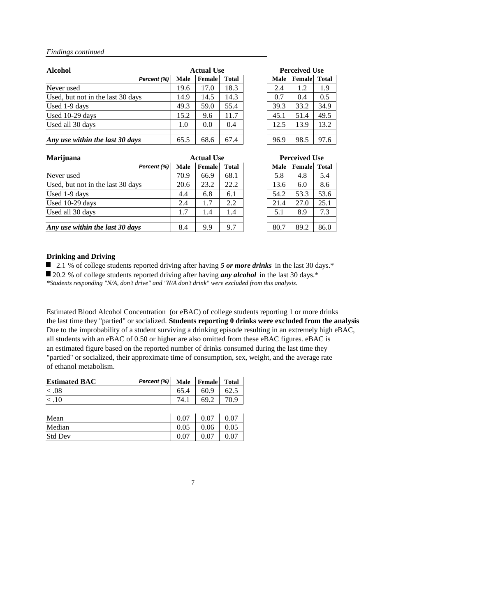| <b>Alcohol</b>                    |             | <b>Actual Use</b> |              |             | <b>Perceived Use</b> |              |
|-----------------------------------|-------------|-------------------|--------------|-------------|----------------------|--------------|
| Percent (%)                       | <b>Male</b> | <b>Female</b>     | <b>Total</b> | <b>Male</b> | Female               | <b>Total</b> |
| Never used                        | 19.6        | 17.0              | 18.3         | 2.4         | 1.2                  | 1.9          |
| Used, but not in the last 30 days | 14.9        | 14.5              | 14.3         | 0.7         | 0.4                  | 0.5          |
| Used 1-9 days                     | 49.3        | 59.0              | 55.4         | 39.3        | 33.2                 | 34.9         |
| Used 10-29 days                   | 15.2        | 9.6               | 11.7         | 45.1        | 51.4                 | 49.5         |
| Used all 30 days                  | 1.0         | 0.0               | 0.4          | 12.5        | 13.9                 | 13.2         |
|                                   |             |                   |              |             |                      |              |
| Any use within the last 30 days   | 65.5        | 68.6              | 67.4         | 96.9        | 98.5                 | 97.6         |

| <b>Marijuana</b>                  |             | <b>Actual Use</b> |              |             | <b>Perceived Use</b> |      |
|-----------------------------------|-------------|-------------------|--------------|-------------|----------------------|------|
| Percent (%)                       | <b>Male</b> | Female            | <b>Total</b> | <b>Male</b> | <b>Female</b> Total  |      |
| Never used                        | 70.9        | 66.9              | 68.1         | 5.8         | 4.8                  | 5.4  |
| Used, but not in the last 30 days | 20.6        | 23.2              | 22.2         | 13.6        | 6.0                  | 8.6  |
| Used 1-9 days                     | 4.4         | 6.8               | 6.1          | 54.2        | 53.3                 | 53.6 |
| Used 10-29 days                   | 2.4         | 1.7               | 2.2          | 21.4        | 27.0                 | 25.1 |
| Used all 30 days                  | 1.7         | 1.4               | 1.4          | 5.1         | 8.9                  | 7.3  |
|                                   |             |                   |              |             |                      |      |
| Any use within the last 30 days   | 8.4         | 9.9               | 9.7          | 80.7        | 89.2                 | 86.0 |

### **Drinking and Driving**

■ 2.1 % of college students reported driving after having 5 or more drinks in the last 30 days.<sup>\*</sup> ■ 20.2 % of college students reported driving after having *any alcohol* in the last 30 days.<sup>\*</sup>

Estimated Blood Alcohol Concentration (or eBAC) of college students reporting 1 or more drinks the last time they "partied" or socialized. **Students reporting 0 drinks were excluded from the analysis**. Due to the improbability of a student surviving a drinking episode resulting in an extremely high eBAC, all students with an eBAC of 0.50 or higher are also omitted from these eBAC figures. eBAC is an estimated figure based on the reported number of drinks consumed during the last time they "partied" or socialized, their approximate time of consumption, sex, weight, and the average rate of ethanol metabolism.

| <b>Estimated BAC</b> | Percent (%) Male   Female   Total |      |      |
|----------------------|-----------------------------------|------|------|
| $\langle .08$        |                                   | 60.9 | 62.5 |
| $\leq 10$            |                                   | 69.2 |      |

| Mean           | 0.07 | 0.07 |  |
|----------------|------|------|--|
| Median         | 0.05 | 0.06 |  |
| <b>Std Dev</b> |      |      |  |

7

| <b>Actual Use</b> |        |              | <b>Perceived Use</b> |             |        |              |  |
|-------------------|--------|--------------|----------------------|-------------|--------|--------------|--|
|                   | Female | <b>Total</b> |                      | <b>Male</b> | Female | <b>Total</b> |  |
|                   | 17.0   | 18.3         |                      | 2.4         | 1.2    | 1.9          |  |
|                   | 14.5   | 14.3         |                      | 0.7         | 0.4    | 0.5          |  |
|                   | 59.0   | 55.4         |                      | 39.3        | 33.2   | 34.9         |  |
|                   | 9.6    | 11.7         |                      | 45.1        | 51.4   | 49.5         |  |
|                   | 0.0    | 0.4          |                      | 12.5        | 13.9   | 13.2         |  |
|                   |        |              |                      |             |        |              |  |
|                   | 68.6   | 67.4         |                      | 96.9        | 98.5   | 97.6         |  |

*\*Students responding "N/A, don't drive" and "N/A don't drink" were excluded from this analysis.*

| <b>Actual Use</b> |               |              | <b>Perceived Use</b> |             |        |              |
|-------------------|---------------|--------------|----------------------|-------------|--------|--------------|
|                   | <b>Female</b> | <b>Total</b> |                      | <b>Male</b> | Female | <b>Total</b> |
|                   | 66.9          | 68.1         |                      | 5.8         | 4.8    | 5.4          |
|                   | 23.2          | 22.2         |                      | 13.6        | 6.0    | 8.6          |
|                   | 6.8           | 6.1          |                      | 54.2        | 53.3   | 53.6         |
|                   | 1.7           | 2.2          |                      | 21.4        | 27.0   | 25.1         |
|                   | 1.4           | 1.4          |                      | 5.1         | 8.9    | 7.3          |
|                   |               |              |                      |             |        |              |
|                   | 9.9           | 9.7          |                      | 80.7        | 89.2   | 86.0         |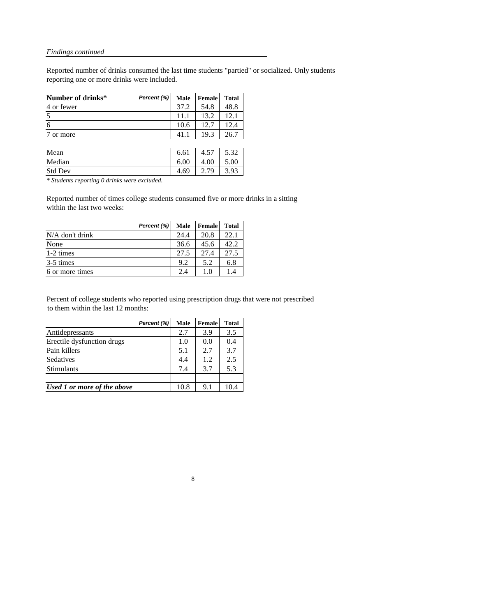Reported number of drinks consumed the last time students "partied" or socialized. Only students reporting one or more drinks were included.

| Number of drinks* | Percent (%) Male   Female   Total |      |      |      |
|-------------------|-----------------------------------|------|------|------|
| 4 or fewer        |                                   | 37.2 | 54.8 | 48.8 |
|                   |                                   | 11.1 | 13.2 |      |
|                   |                                   | 10.6 | 12.7 |      |
| or more           |                                   |      | 193  | 26.7 |

| Mean           | 6.61 | 4.57 | 5.32 |
|----------------|------|------|------|
| Median         | 6.00 | 4.00 | 5.00 |
| <b>Std Dev</b> | 4.69 | 2.79 | 3.93 |

*\* Students reporting 0 drinks were excluded.*

Reported number of times college students consumed five or more drinks in a sitting within the last two weeks:

|                   | Percent (%) | <b>Male</b> | Female         | <b>Total</b> |
|-------------------|-------------|-------------|----------------|--------------|
| $N/A$ don't drink |             | 24.4        | 20.8           | 22.1         |
| None              |             | 36.6        | 45.6           | 42.2         |
| 1-2 times         |             | 27.5        | 27.4           | 27.5         |
| 3-5 times         |             | 9.2         | 5.2            | 6.8          |
| 6 or more times   |             | 2.4         | 1 <sub>0</sub> | 14           |

Percent of college students who reported using prescription drugs that were not prescribed to them within the last 12 months:

|                             | Percent (%) | <b>Male</b> | <b>Female</b> | <b>Total</b> |
|-----------------------------|-------------|-------------|---------------|--------------|
| Antidepressants             |             | 2.7         | 3.9           | 3.5          |
| Erectile dysfunction drugs  |             | 1.0         | 0.0           | 0.4          |
| Pain killers                |             | 5.1         | 2.7           | 3.7          |
| Sedatives                   |             | 4.4         | 1.2           | 2.5          |
| <b>Stimulants</b>           |             | 7.4         | 3.7           | 5.3          |
|                             |             |             |               |              |
| Used 1 or more of the above |             | 10.8        | 9.1           |              |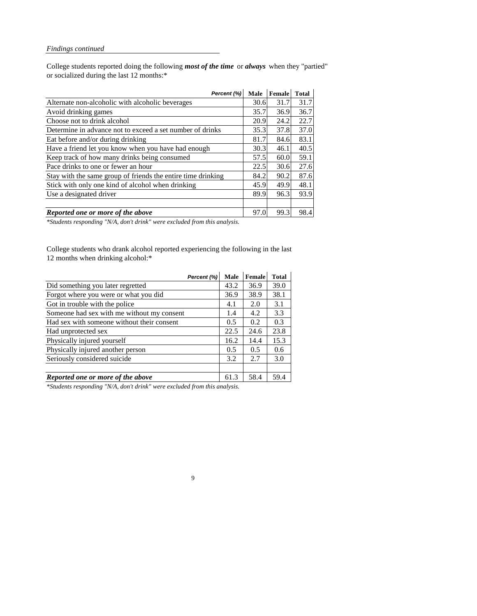College students reported doing the following *most of the time* or *always* when they "partied" or socialized during the last 12 months:\*

| Percent (%)                                                  | <b>Male</b> | Female | <b>Total</b> |
|--------------------------------------------------------------|-------------|--------|--------------|
| Alternate non-alcoholic with alcoholic beverages             | 30.6        | 31.7   | 31.7         |
| Avoid drinking games                                         | 35.7        | 36.9   | 36.7         |
| Choose not to drink alcohol                                  | 20.9        | 24.2   | 22.7         |
| Determine in advance not to exceed a set number of drinks    | 35.3        | 37.8   | 37.0         |
| Eat before and/or during drinking                            | 81.7        | 84.6   | 83.1         |
| Have a friend let you know when you have had enough          | 30.3        | 46.1   | 40.5         |
| Keep track of how many drinks being consumed                 | 57.5        | 60.0   | 59.1         |
| Pace drinks to one or fewer an hour                          | 22.5        | 30.6   | 27.6         |
| Stay with the same group of friends the entire time drinking | 84.2        | 90.2   | 87.6         |
| Stick with only one kind of alcohol when drinking            | 45.9        | 49.9   | 48.1         |
| Use a designated driver                                      | 89.9        | 96.3   | 93.9         |
|                                                              |             |        |              |
| <b>Reported one or more of the above</b>                     | 97.0        | 99.3   | 98.4         |

College students who drank alcohol reported experiencing the following in the last 12 months when drinking alcohol:\*

|                                            | Percent (%) | <b>Male</b> | <b>Female</b> | <b>Total</b> |
|--------------------------------------------|-------------|-------------|---------------|--------------|
| Did something you later regretted          |             | 43.2        | 36.9          | 39.0         |
| Forgot where you were or what you did      |             | 36.9        | 38.9          | 38.1         |
| Got in trouble with the police             |             | 4.1         | 2.0           | 3.1          |
| Someone had sex with me without my consent |             | 1.4         | 4.2           | 3.3          |
| Had sex with someone without their consent |             | 0.5         | 0.2           | 0.3          |
| Had unprotected sex                        |             | 22.5        | 24.6          | 23.8         |
| Physically injured yourself                |             | 16.2        | 14.4          | 15.3         |
| Physically injured another person          |             | 0.5         | 0.5           | 0.6          |
| Seriously considered suicide               |             | 3.2         | 2.7           | 3.0          |
|                                            |             |             |               |              |
| Reported one or more of the above          |             | 61.3        | 58.4          | 59.4         |

9

*\*Students responding "N/A, don't drink" were excluded from this analysis.*

*\*Students responding "N/A, don't drink" were excluded from this analysis.*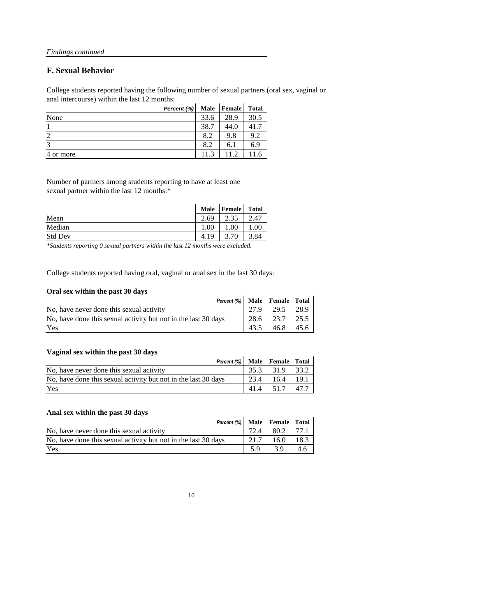# **F. Sexual Behavior**

College students reported having the following number of sexual partners (oral sex, vaginal or anal intercourse) within the last 12 months:

|           | Percent (%) |      | Male   Female | <b>Total</b> |
|-----------|-------------|------|---------------|--------------|
| None      |             | 33.6 | 28.9          | 30.5         |
|           |             | 38.7 | 44.0          | 41.7         |
| っ         |             | 8.2  | 9.8           | 9.2          |
| 3         |             | 8.2  | 6.1           | 6.9          |
| 4 or more |             | 11.3 | 11.2          | 1.6          |

Number of partners among students reporting to have at least one sexual partner within the last 12 months:\*

|                | <b>Male</b>  | <b>Female</b> | <b>Total</b> |
|----------------|--------------|---------------|--------------|
| Mean           | $\angle .69$ | 2.35          | 2.47         |
| Median         | 1.00         | 00.1          | 00.1         |
| <b>Std Dev</b> | 1Q<br>4.1    | .70<br>⌒      | 3.84         |

College students reported having oral, vaginal or anal sex in the last 30 days:

## **Oral sex within the past 30 days**

| Percent (%) Male   Female   Total                              |      |                      |      |
|----------------------------------------------------------------|------|----------------------|------|
| No, have never done this sexual activity                       | 27.9 | $29.5$   28.9        |      |
| No, have done this sexual activity but not in the last 30 days |      | $28.6$   23.7   25.5 |      |
| Yes                                                            | 43.5 | 46.8                 | 45.6 |

## **Vaginal sex within the past 30 days**

| <b>TWELING DUIL WEDDED DESCRIPTION</b>                         |      |      |      |
|----------------------------------------------------------------|------|------|------|
| Percent $(\%)$ Male Female Total                               |      |      |      |
| No, have never done this sexual activity                       | 35.3 | 31.9 | 33.2 |
| No, have done this sexual activity but not in the last 30 days | 23.4 | 16.4 | 19.1 |
| Yes                                                            | 41.4 | 51.7 | 47.7 |

## **Anal sex within the past 30 days**

| Percent (%)   Male   Female   Total                            |      |      |      |
|----------------------------------------------------------------|------|------|------|
| No, have never done this sexual activity                       |      | 80.2 | 77.1 |
| No, have done this sexual activity but not in the last 30 days | 21.7 | 16.0 | 18.3 |
| Yes                                                            | 59   | 39   | 4.6  |

10

*\*Students reporting 0 sexual partners within the last 12 months were excluded.*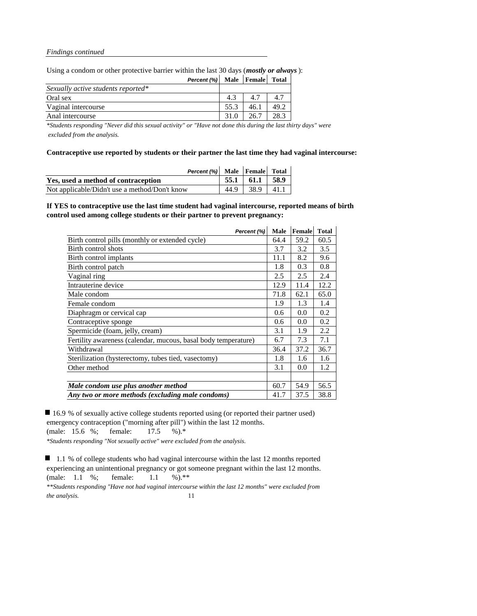Using a condom or other protective barrier within the last 30 days (*mostly or always*):

| Percent (%) Male   Female   Total  |      |      |      |
|------------------------------------|------|------|------|
| Sexually active students reported* |      |      |      |
| Oral sex                           | 4.3  | 4.7  | 4.7  |
| Vaginal intercourse                | 55.3 | 46.1 | 49.2 |
| Anal intercourse                   | 31.0 | 26.7 | 28.3 |

*\*Students responding "Never did this sexual activity" or "Have not done this during the last thirty days" were excluded from the analysis.*

**Contraceptive use reported by students or their partner the last time they had vaginal intercourse:**

| <b>Percent (%)</b> Male $\begin{bmatrix}$ Female Total |      |                      |  |
|--------------------------------------------------------|------|----------------------|--|
| Yes, used a method of contraception                    |      | $55.1$   61.1   58.9 |  |
| Not applicable/Didn't use a method/Don't know          | 44.9 | $38.9$   41.1        |  |

**If YES to contraceptive use the last time student had vaginal intercourse, reported means of birth control used among college students or their partner to prevent pregnancy:**

16.9 % of sexually active college students reported using (or reported their partner used) emergency contraception ("morning after pill") within the last 12 months. (male: 15.6 %; female: 17.5 %).\* *\*Students responding "Not sexually active" were excluded from the analysis.*

■ 1.1 % of college students who had vaginal intercourse within the last 12 months reported experiencing an unintentional pregnancy or got someone pregnant within the last 12 months. (male: 1.1 %; female: 1.1 %).\*\*

*\*\*Students responding "Have not had vaginal intercourse within the last 12 months" were excluded from the analysis.* 11

| Percent (%)                                                    | <b>Male</b> | Female | <b>Total</b> |
|----------------------------------------------------------------|-------------|--------|--------------|
| Birth control pills (monthly or extended cycle)                | 64.4        | 59.2   | 60.5         |
| Birth control shots                                            | 3.7         | 3.2    | 3.5          |
| Birth control implants                                         | 11.1        | 8.2    | 9.6          |
| Birth control patch                                            | 1.8         | 0.3    | 0.8          |
| Vaginal ring                                                   | 2.5         | 2.5    | 2.4          |
| Intrauterine device                                            | 12.9        | 11.4   | 12.2         |
| Male condom                                                    | 71.8        | 62.1   | 65.0         |
| Female condom                                                  | 1.9         | 1.3    | 1.4          |
| Diaphragm or cervical cap                                      | 0.6         | 0.0    | 0.2          |
| Contraceptive sponge                                           | 0.6         | 0.0    | 0.2          |
| Spermicide (foam, jelly, cream)                                | 3.1         | 1.9    | 2.2          |
| Fertility awareness (calendar, mucous, basal body temperature) | 6.7         | 7.3    | 7.1          |
| Withdrawal                                                     | 36.4        | 37.2   | 36.7         |
| Sterilization (hysterectomy, tubes tied, vasectomy)            | 1.8         | 1.6    | 1.6          |
| Other method                                                   | 3.1         | 0.0    | 1.2          |
|                                                                |             |        |              |
| Male condom use plus another method                            | 60.7        | 54.9   | 56.5         |
| Any two or more methods (excluding male condoms)               | 41.7        | 37.5   | 38.8         |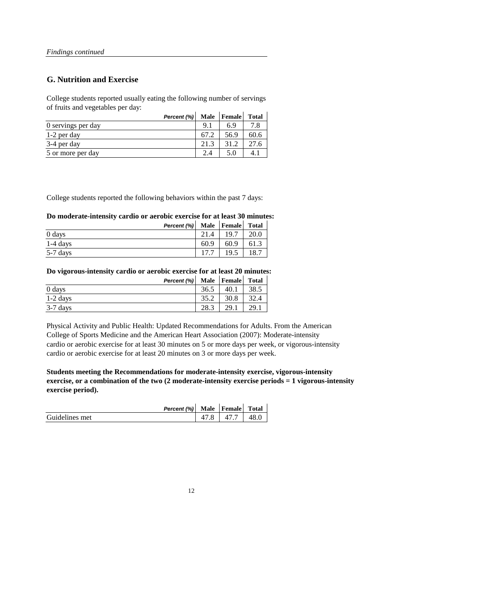# **G. Nutrition and Exercise**

College students reported usually eating the following number of servings of fruits and vegetables per day:

|                    | Percent (%) | <b>Male</b> | Female | <b>Total</b> |
|--------------------|-------------|-------------|--------|--------------|
| 0 servings per day |             | 9.1         | 6.9    |              |
| 1-2 per day        |             | 67.2        | 56.9   | 60.6         |
| 3-4 per day        |             | 21.3        | 31.2   | 27.6         |
| 5 or more per day  |             | 2.4         |        |              |

College students reported the following behaviors within the past 7 days:

## **Do moderate-intensity cardio or aerobic exercise for at least 30 minutes:**

|            | Percent (%) Male   Female |      |      | <b>Total</b> |
|------------|---------------------------|------|------|--------------|
| 0 days     |                           |      | 19.7 | 20.0         |
| $1-4$ days |                           | 60.9 | 60.9 |              |
| $5-7$ days |                           |      | 19.5 | 18.7         |

**Do vigorous-intensity cardio or aerobic exercise for at least 20 minutes:**

|            | Percent (%) Male   Female |      |      | <b>Total</b> |
|------------|---------------------------|------|------|--------------|
| 0 days     |                           | 36.5 | 40.1 | 38.5         |
| $1-2$ days |                           | 35.2 | 30.8 | 32.4         |
| $3-7$ days |                           | 28.3 | 29.1 | 29.1         |

Physical Activity and Public Health: Updated Recommendations for Adults. From the American College of Sports Medicine and the American Heart Association (2007): Moderate-intensity cardio or aerobic exercise for at least 30 minutes on 5 or more days per week, or vigorous-intensity cardio or aerobic exercise for at least 20 minutes on 3 or more days per week.

**Students meeting the Recommendations for moderate-intensity exercise, vigorous-intensity exercise, or a combination of the two (2 moderate-intensity exercise periods = 1 vigorous-intensity exercise period).**

*Percent (%)* **Male Female Total**

| Guidelines met |  | 47.7 | 48.0 |  |
|----------------|--|------|------|--|
|----------------|--|------|------|--|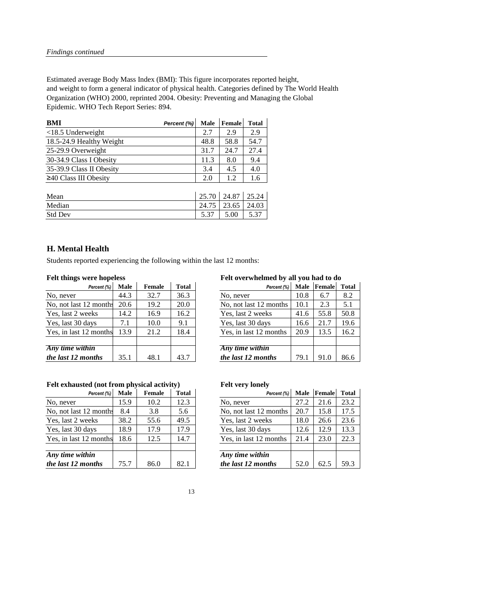Estimated average Body Mass Index (BMI): This figure incorporates reported height, and weight to form a general indicator of physical health. Categories defined by The World Health Organization (WHO) 2000, reprinted 2004. Obesity: Preventing and Managing the Global Epidemic. WHO Tech Report Series: 894.

| Percent (%) | <b>Male</b> | <b>Female</b> | <b>Total</b> |
|-------------|-------------|---------------|--------------|
|             | 2.7         | 2.9           | 2.9          |
|             | 48.8        | 58.8          | 54.7         |
|             | 31.7        | 24.7          | 27.4         |
|             | 11.3        | 8.0           | 9.4          |
|             | 3.4         | 4.5           | 4.0          |
|             | 2.0         | 1.2           | 1.6          |
|             |             |               |              |

| Mean           | 25.70 | 24.87   25.24 |       |
|----------------|-------|---------------|-------|
| Median         | 24.75 | 23.65         | 24.03 |
| <b>Std Dev</b> | 5.37  | 5.00          |       |

# **H. Mental Health**

Students reported experiencing the following within the last 12 months:

# **Felt things were hopeless Felt overwhelmed by all you had to do**

| Percent (%)      | <b>Male</b> | <b>Female</b> | <b>Total</b> | Percent (%)            | <b>Male</b> | Female | <b>Total</b> |
|------------------|-------------|---------------|--------------|------------------------|-------------|--------|--------------|
|                  | 44.3        | 32.7          | 36.3         | No, never              | 10.8        | 6.7    | 8.2          |
| 2 months         | 20.6        | 19.2          | 20.0         | No, not last 12 months | 10.1        | 2.3    | 5.1          |
| eks              | 14.2        | 16.9          | 16.2         | Yes, last 2 weeks      | 41.6        | 55.8   | 50.8         |
| ays              | 7.1         | 10.0          | 9.1          | Yes, last 30 days      | 16.6        | 21.7   | 19.6         |
| months           | 13.9        | 21.2          | 18.4         | Yes, in last 12 months | 20.9        | 13.5   | 16.2         |
|                  |             |               |              |                        |             |        |              |
| $\overline{in}$  |             |               |              | Any time within        |             |        |              |
| $\mathbf{m}$ ths | 35.1        | 48.1          | 43.7         | the last 12 months     | 79.1        | 91.0   | 86.6         |

# Felt exhausted (not from physical activity) Felt very lonely

| Percent (%)            | <b>Male</b> | <b>Female</b> | <b>Total</b> | Percent (%)            | <b>Male</b> | Female | <b>Tota</b> |
|------------------------|-------------|---------------|--------------|------------------------|-------------|--------|-------------|
| No, never              | 44.3        | 32.7          | 36.3         | No, never              | 10.8        | 6.7    | 8.2         |
| No, not last 12 months | 20.6        | 19.2          | 20.0         | No, not last 12 months | 10.1        | 2.3    | 5.1         |
| Yes, last 2 weeks      | 14.2        | 16.9          | 16.2         | Yes, last 2 weeks      | 41.6        | 55.8   | 50.8        |
| Yes, last 30 days      | 7.1         | 10.0          | 9.1          | Yes, last 30 days      | 16.6        | 21.7   | 19.6        |
| Yes, in last 12 months | 13.9        | 21.2          | 18.4         | Yes, in last 12 months | 20.9        | 13.5   | 16.2        |
|                        |             |               |              |                        |             |        |             |
| Any time within        |             |               |              | Any time within        |             |        |             |
| the last 12 months     | 35.1        | 48.1          | 43.7         | the last 12 months     | 79.1        | 91.0   | 86.6        |

| Percent (%)          | <b>Male</b> | Female | <b>Total</b> | Percent (%)            |      | Male Female | <b>Total</b> |
|----------------------|-------------|--------|--------------|------------------------|------|-------------|--------------|
|                      | 15.9        | 10.2   | 12.3         | No, never              | 27.2 | 21.6        | 23.2         |
| 2 months             | 8.4         | 3.8    | 5.6          | No, not last 12 months | 20.7 | 15.8        | 17.5         |
| eks                  | 38.2        | 55.6   | 49.5         | Yes, last 2 weeks      | 18.0 | 26.6        | 23.6         |
| ays                  | 18.9        | 17.9   | 17.9         | Yes, last 30 days      | 12.6 | 12.9        | 13.3         |
| months               | 18.6        | 12.5   | 14.7         | Yes, in last 12 months | 21.4 | 23.0        | 22.3         |
|                      |             |        |              |                        |      |             |              |
| $\dot{I}n$           |             |        |              | Any time within        |      |             |              |
| $\boldsymbol{n}$ ths | 75.7        | 86.0   | 82.1         | the last 12 months     | 52.0 | 62.5        | 59.3         |

| Percent (%)            | <b>Male</b> | <b>Female</b> | <b>Total</b> | Percent (%)            | <b>Male</b> | Female | Tota |
|------------------------|-------------|---------------|--------------|------------------------|-------------|--------|------|
| No, never              | 15.9        | 10.2          | 12.3         | No, never              | 27.2        | 21.6   | 23.2 |
| No, not last 12 months | 8.4         | 3.8           | 5.6          | No, not last 12 months | 20.7        | 15.8   | 17.5 |
| Yes, last 2 weeks      | 38.2        | 55.6          | 49.5         | Yes, last 2 weeks      | 18.0        | 26.6   | 23.6 |
| Yes, last 30 days      | 18.9        | 17.9          | 17.9         | Yes, last 30 days      | 12.6        | 12.9   | 13.3 |
| Yes, in last 12 months | 18.6        | 12.5          | 14.7         | Yes, in last 12 months | 21.4        | 23.0   | 22.3 |
|                        |             |               |              |                        |             |        |      |
| Any time within        |             |               |              | Any time within        |             |        |      |
| the last 12 months     | 75.7        | 86.0          | 82.1         | the last 12 months     | 52.0        | 62.5   | 59.3 |

| ۰.<br>۰.<br>× |  |
|---------------|--|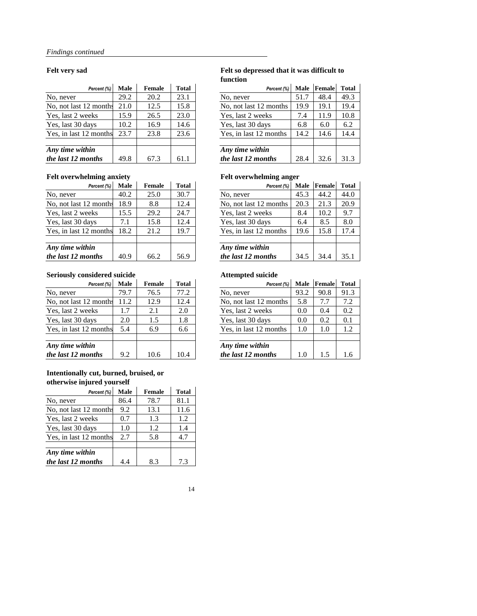## **Felt very sad Felt so depressed that it was difficult to function**

| Percent (%)          | <b>Male</b> | <b>Female</b> | <b>Total</b> | Percent (%)            | <b>Male</b> | Female | <b>Total</b> |
|----------------------|-------------|---------------|--------------|------------------------|-------------|--------|--------------|
|                      | 29.2        | 20.2          | 23.1         | No, never              | 51.7        | 48.4   | 49.3         |
| 2 months             | 21.0        | 12.5          | 15.8         | No, not last 12 months | 19.9        | 19.1   | 19.4         |
| eks                  | 15.9        | 26.5          | 23.0         | Yes, last 2 weeks      | 7.4         | 11.9   | 10.8         |
| ays                  | 10.2        | 16.9          | 14.6         | Yes, last 30 days      | 6.8         | 6.0    | 6.2          |
| months               | 23.7        | 23.8          | 23.6         | Yes, in last 12 months | 14.2        | 14.6   | 14.4         |
|                      |             |               |              |                        |             |        |              |
| $\dot{I}n$           |             |               |              | Any time within        |             |        |              |
| $\boldsymbol{n}$ ths | 49.8        | 67.3          | 61.1         | the last 12 months     | 28.4        | 32.6   | 31.3         |

| Percent (%)            | <b>Male</b> | <b>Female</b> | <b>Total</b> | Percent (%)            |      | Male Female | <b>Tota</b> |
|------------------------|-------------|---------------|--------------|------------------------|------|-------------|-------------|
| No, never              | 29.2        | 20.2          | 23.1         | No, never              | 51.7 | 48.4        | 49.3        |
| No, not last 12 months | 21.0        | 12.5          | 15.8         | No, not last 12 months | 19.9 | 19.1        | 19.4        |
| Yes, last 2 weeks      | 15.9        | 26.5          | 23.0         | Yes, last 2 weeks      | 7.4  | 11.9        | 10.8        |
| Yes, last 30 days      | 10.2        | 16.9          | 14.6         | Yes, last 30 days      | 6.8  | 6.0         | 6.2         |
| Yes, in last 12 months | 23.7        | 23.8          | 23.6         | Yes, in last 12 months | 14.2 | 14.6        | 14.4        |
|                        |             |               |              |                        |      |             |             |
| Any time within        |             |               |              | Any time within        |      |             |             |
| the last 12 months     | 49.8        | 67.3          | 61.1         | the last 12 months     | 28.4 | 32.6        | 31.3        |

# Felt overwhelming anxiety **Felt overwhelming anger**

| ັ                    |             |               |              | ັ                      |             |        |              |
|----------------------|-------------|---------------|--------------|------------------------|-------------|--------|--------------|
| Percent (%)          | <b>Male</b> | <b>Female</b> | <b>Total</b> | Percent (%)            | <b>Male</b> | Female | <b>Total</b> |
|                      | 40.2        | 25.0          | 30.7         | No, never              | 45.3        | 44.2   | 44.0         |
| 2 months             | 18.9        | 8.8           | 12.4         | No, not last 12 months | 20.3        | 21.3   | 20.9         |
| eks                  | 15.5        | 29.2          | 24.7         | Yes, last 2 weeks      | 8.4         | 10.2   | 9.7          |
| ays                  | 7.1         | 15.8          | 12.4         | Yes, last 30 days      | 6.4         | 8.5    | 8.0          |
| months               | 8.2         | 21.2          | 19.7         | Yes, in last 12 months | 19.6        | 15.8   | 17.4         |
|                      |             |               |              |                        |             |        |              |
| $\dot{I}n$           |             |               |              | Any time within        |             |        |              |
| $\boldsymbol{n}$ ths | 40.9        | 66.2          | 56.9         | the last 12 months     | 34.5        | 34.4   | 35.1         |

| Percent (%)            | <b>Male</b> | <b>Female</b> | <b>Total</b> | Percent (%)            | <b>Male</b> | Female | Total |
|------------------------|-------------|---------------|--------------|------------------------|-------------|--------|-------|
| No, never              | 40.2        | 25.0          | 30.7         | No, never              | 45.3        | 44.2   | 44.0  |
| No, not last 12 months | 18.9        | 8.8           | 12.4         | No, not last 12 months | 20.3        | 21.3   | 20.9  |
| Yes, last 2 weeks      | 15.5        | 29.2          | 24.7         | Yes, last 2 weeks      | 8.4         | 10.2   | 9.7   |
| Yes, last 30 days      | 7.1         | 15.8          | 12.4         | Yes, last 30 days      | 6.4         | 8.5    | 8.0   |
| Yes, in last 12 months | 18.2        | 21.2          | 19.7         | Yes, in last 12 months | 19.6        | 15.8   | 17.4  |
| Any time within        |             |               |              | Any time within        |             |        |       |
| the last 12 months     | 40.9        | 66.2          | 56.9         | the last 12 months     | 34.5        | 34.4   | 35.1  |

# **Seriously considered suicide Attempted suicide**

| Percent (%)      | <b>Male</b> | <b>Female</b> | <b>Total</b> | Percent (%)            | <b>Male</b> | Female | <b>Total</b> |
|------------------|-------------|---------------|--------------|------------------------|-------------|--------|--------------|
|                  | 79.7        | 76.5          | 77.2         | No, never              | 93.2        | 90.8   | 91.3         |
| 2 months         | 11.2        | 12.9          | 12.4         | No, not last 12 months | 5.8         | 7.7    | 7.2          |
| eks              | 1.7         | 2.1           | 2.0          | Yes, last 2 weeks      | 0.0         | 0.4    | 0.2          |
| ays              | 2.0         | 1.5           | 1.8          | Yes, last 30 days      | 0.0         | 0.2    | 0.1          |
| months           | 5.4         | 6.9           | 6.6          | Yes, in last 12 months | 1.0         | 1.0    | 1.2          |
|                  |             |               |              |                        |             |        |              |
| $\dot{I}n$       |             |               |              | Any time within        |             |        |              |
| $\mathbf{n}$ ths | 9.2         | 10.6          | 10.4         | the last 12 months     | 1.0         | 1.5    | 1.6          |

| Percent (%)            | <b>Male</b> | <b>Female</b> | <b>Total</b> | Percent (%)            | <b>Male</b> | Female | <b>Tota</b> |
|------------------------|-------------|---------------|--------------|------------------------|-------------|--------|-------------|
| No, never              | 79.7        | 76.5          | 77.2         | No, never              | 93.2        | 90.8   | 91.3        |
| No, not last 12 months | 11.2        | 12.9          | 12.4         | No, not last 12 months | 5.8         | 7.7    | 7.2         |
| Yes, last 2 weeks      | 1.7         | 2.1           | 2.0          | Yes, last 2 weeks      | 0.0         | 0.4    | 0.2         |
| Yes, last 30 days      | 2.0         | 1.5           | 1.8          | Yes, last 30 days      | 0.0         | 0.2    | 0.1         |
| Yes, in last 12 months | 5.4         | 6.9           | 6.6          | Yes, in last 12 months | 1.0         | 1.0    | 1.2         |
| Any time within        |             |               |              | Any time within        |             |        |             |
| the last 12 months     | 9.2         | 10.6          | 10.4         | the last 12 months     | 1.0         | 1.5    | 1.6         |

# **Intentionally cut, burned, bruised, or otherwise injured yourself**

| .,<br>Percent (%)      | <b>Male</b> | <b>Female</b> | <b>Total</b> |
|------------------------|-------------|---------------|--------------|
| No, never              | 86.4        | 78.7          | 81.1         |
| No, not last 12 months | 9.2         | 13.1          | 11.6         |
| Yes, last 2 weeks      | 0.7         | 1.3           | 1.2          |
| Yes, last 30 days      | 1.0         | 1.2           | 1.4          |
| Yes, in last 12 months | 2.7         | 5.8           | 4.7          |
|                        |             |               |              |
| Any time within        |             |               |              |
| the last 12 months     | 4.4         | 83            | 7.3          |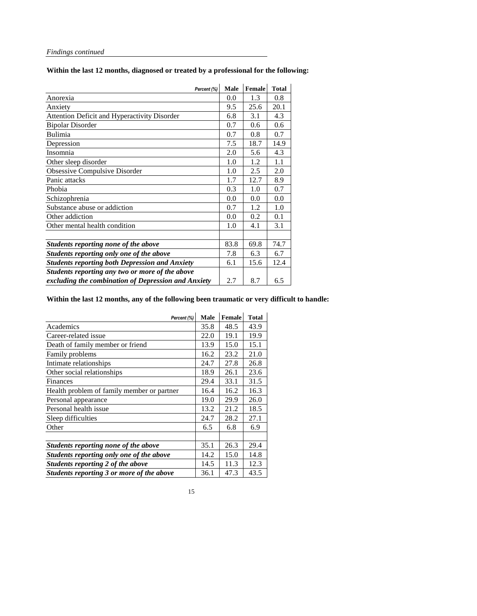**Within the last 12 months, diagnosed or treated by a professional for the following:** 

| Percent (%)                                           | <b>Male</b> | <b>Female</b> | <b>Total</b> |
|-------------------------------------------------------|-------------|---------------|--------------|
| Anorexia                                              | 0.0         | 1.3           | 0.8          |
| Anxiety                                               | 9.5         | 25.6          | 20.1         |
| <b>Attention Deficit and Hyperactivity Disorder</b>   | 6.8         | 3.1           | 4.3          |
| <b>Bipolar Disorder</b>                               | 0.7         | 0.6           | 0.6          |
| <b>Bulimia</b>                                        | 0.7         | 0.8           | 0.7          |
| Depression                                            | 7.5         | 18.7          | 14.9         |
| Insomnia                                              | 2.0         | 5.6           | 4.3          |
| Other sleep disorder                                  | 1.0         | 1.2           | 1.1          |
| <b>Obsessive Compulsive Disorder</b>                  | 1.0         | 2.5           | 2.0          |
| Panic attacks                                         | 1.7         | 12.7          | 8.9          |
| Phobia                                                | 0.3         | 1.0           | 0.7          |
| Schizophrenia                                         | 0.0         | 0.0           | 0.0          |
| Substance abuse or addiction                          | 0.7         | 1.2           | 1.0          |
| Other addiction                                       | 0.0         | 0.2           | 0.1          |
| Other mental health condition                         | 1.0         | 4.1           | 3.1          |
|                                                       |             |               |              |
| Students reporting none of the above                  | 83.8        | 69.8          | 74.7         |
| Students reporting only one of the above              | 7.8         | 6.3           | 6.7          |
| <b>Students reporting both Depression and Anxiety</b> | 6.1         | 15.6          | 12.4         |
| Students reporting any two or more of the above       |             |               |              |
| excluding the combination of Depression and Anxiety   | 2.7         | 8.7           | 6.5          |

# **Within the last 12 months, any of the following been traumatic or very difficult to handle:**

| Percent (%)                                | <b>Male</b> | <b>Female</b> | <b>Total</b> |
|--------------------------------------------|-------------|---------------|--------------|
| Academics                                  | 35.8        | 48.5          | 43.9         |
| Career-related issue                       | 22.0        | 19.1          | 19.9         |
| Death of family member or friend           | 13.9        | 15.0          | 15.1         |
| Family problems                            | 16.2        | 23.2          | 21.0         |
| Intimate relationships                     | 24.7        | 27.8          | 26.8         |
| Other social relationships                 | 18.9        | 26.1          | 23.6         |
| Finances                                   | 29.4        | 33.1          | 31.5         |
| Health problem of family member or partner | 16.4        | 16.2          | 16.3         |
| Personal appearance                        | 19.0        | 29.9          | 26.0         |
| Personal health issue                      | 13.2        | 21.2          | 18.5         |
| Sleep difficulties                         | 24.7        | 28.2          | 27.1         |
| Other                                      | 6.5         | 6.8           | 6.9          |
|                                            |             |               |              |
| Students reporting none of the above       | 35.1        | 26.3          | 29.4         |
| Students reporting only one of the above   | 14.2        | 15.0          | 14.8         |
| Students reporting 2 of the above          | 14.5        | 11.3          | 12.3         |
| Students reporting 3 or more of the above  | 36.1        | 47.3          | 43.5         |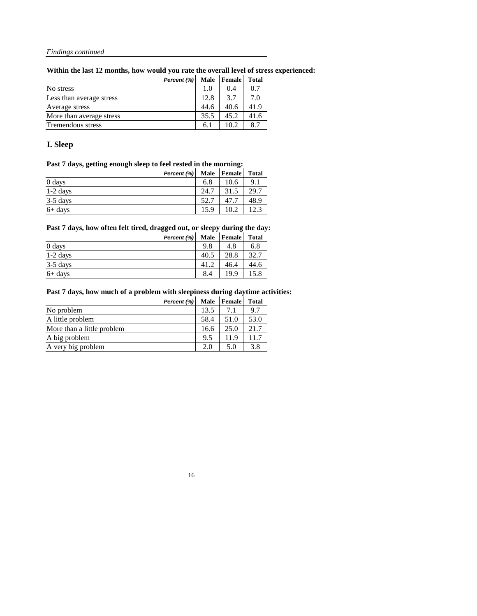**Within the last 12 months, how would you rate the overall level of stress experienced:**

|                          | Percent (%) | <b>Male</b> | Female | <b>Total</b> |
|--------------------------|-------------|-------------|--------|--------------|
| No stress                |             | 1.0         | 0.4    | 0.7          |
| Less than average stress |             | 12.8        | 3.7    | 7.0          |
| Average stress           |             | 44.6        | 40.6   | 41.9         |
| More than average stress |             | 35.5        | 45.2   | 41.6         |
| <b>Tremendous stress</b> |             | 6.1         | 10.2   |              |

# **I. Sleep**

# **Past 7 days, getting enough sleep to feel rested in the morning:**

| Percent (%) | <b>Male</b> | <b>Female</b> | <b>Total</b> |
|-------------|-------------|---------------|--------------|
| 0 days      | 6.8         | 10.6          | 9.1          |
| $1-2$ days  | 24.7        | 31.5          | 29.7         |
| $3-5$ days  | 52.7        | 47.7          | 48.9         |
| $6+$ days   | 15.9        | 10.2          |              |

# **Past 7 days, how often felt tired, dragged out, or sleepy during the day:**

| Percent (%) | <b>Male</b> | <b>Female</b> | <b>Total</b> |
|-------------|-------------|---------------|--------------|
| 0 days      | 9.8         | 4.8           | 6.8          |
| $1-2$ days  | 40.5        | 28.8          | 32.7         |
| $3-5$ days  | 41.2        | 46.4          | 44.6         |
| $6+$ days   | 8.4         | 199           |              |

# **Past 7 days, how much of a problem with sleepiness during daytime activities:**

|                            | Percent (%) | <b>Male</b> | <b>Female</b> | <b>Total</b> |
|----------------------------|-------------|-------------|---------------|--------------|
| No problem                 |             | 13.5        | 7.1           | 9.7          |
| A little problem           |             | 58.4        | 51.0          | 53.0         |
| More than a little problem |             | 16.6        | 25.0          | 21.7         |
| A big problem              |             | 9.5         | 11.9          | 11.7         |
| A very big problem         |             | 2.0         | 5.0           | 3.8          |